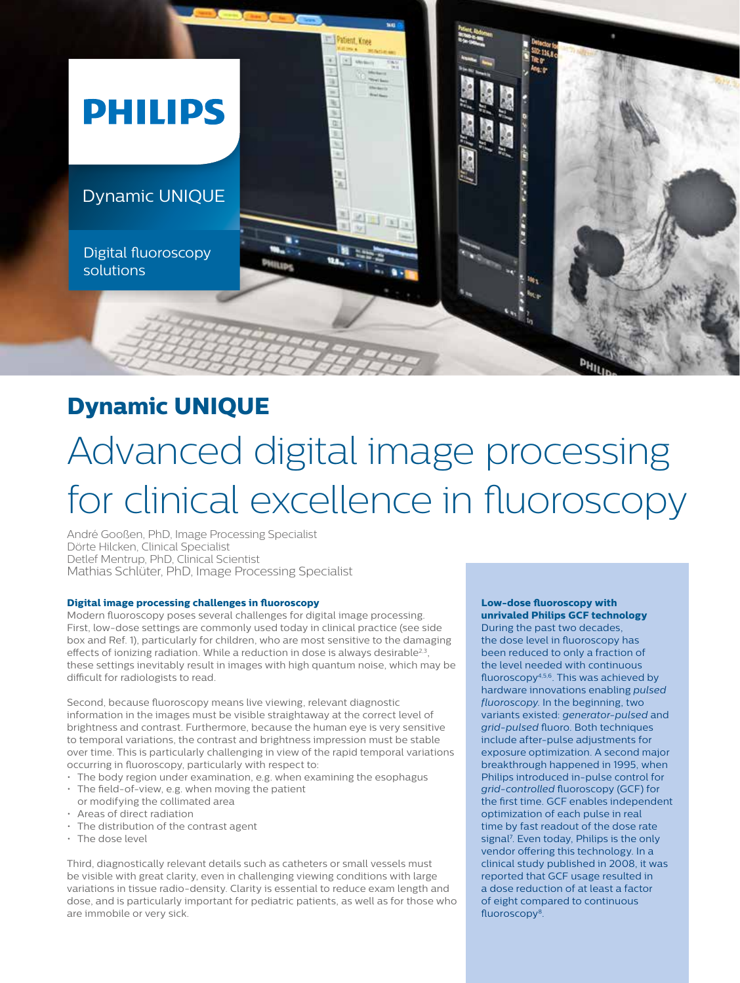

# **Dynamic UNIQUE**

# Advanced digital image processing for clinical excellence in fluoroscopy

André Gooßen, PhD, Image Processing Specialist Dörte Hilcken, Clinical Specialist Detlef Mentrup, PhD, Clinical Scientist Mathias Schlüter, PhD, Image Processing Specialist

#### **Digital image processing challenges in fluoroscopy**

Modern fluoroscopy poses several challenges for digital image processing. First, low-dose settings are commonly used today in clinical practice (see side box and Ref. 1), particularly for children, who are most sensitive to the damaging effects of ionizing radiation. While a reduction in dose is always desirable<sup>2,3</sup>, these settings inevitably result in images with high quantum noise, which may be difficult for radiologists to read.

Second, because fluoroscopy means live viewing, relevant diagnostic information in the images must be visible straightaway at the correct level of brightness and contrast. Furthermore, because the human eye is very sensitive to temporal variations, the contrast and brightness impression must be stable over time. This is particularly challenging in view of the rapid temporal variations occurring in fluoroscopy, particularly with respect to:

- The body region under examination, e.g. when examining the esophagus
- The field-of-view, e.g. when moving the patient
- or modifying the collimated area
- Areas of direct radiation
- The distribution of the contrast agent
- The dose level

Third, diagnostically relevant details such as catheters or small vessels must be visible with great clarity, even in challenging viewing conditions with large variations in tissue radio-density. Clarity is essential to reduce exam length and dose, and is particularly important for pediatric patients, as well as for those who are immobile or very sick.

#### **Low-dose fluoroscopy with unrivaled Philips GCF technology**

During the past two decades, the dose level in fluoroscopy has been reduced to only a fraction of the level needed with continuous fluoroscopy4,5,6. This was achieved by hardware innovations enabling *pulsed fluoroscopy*. In the beginning, two variants existed: *generator-pulsed* and *grid-pulsed* fluoro. Both techniques include after-pulse adjustments for exposure optimization. A second major breakthrough happened in 1995, when Philips introduced in-pulse control for *grid-controlled* fluoroscopy (GCF) for the first time. GCF enables independent optimization of each pulse in real time by fast readout of the dose rate signal<sup>7</sup>. Even today, Philips is the only vendor offering this technology. In a clinical study published in 2008, it was reported that GCF usage resulted in a dose reduction of at least a factor of eight compared to continuous fluoroscopy<sup>8</sup>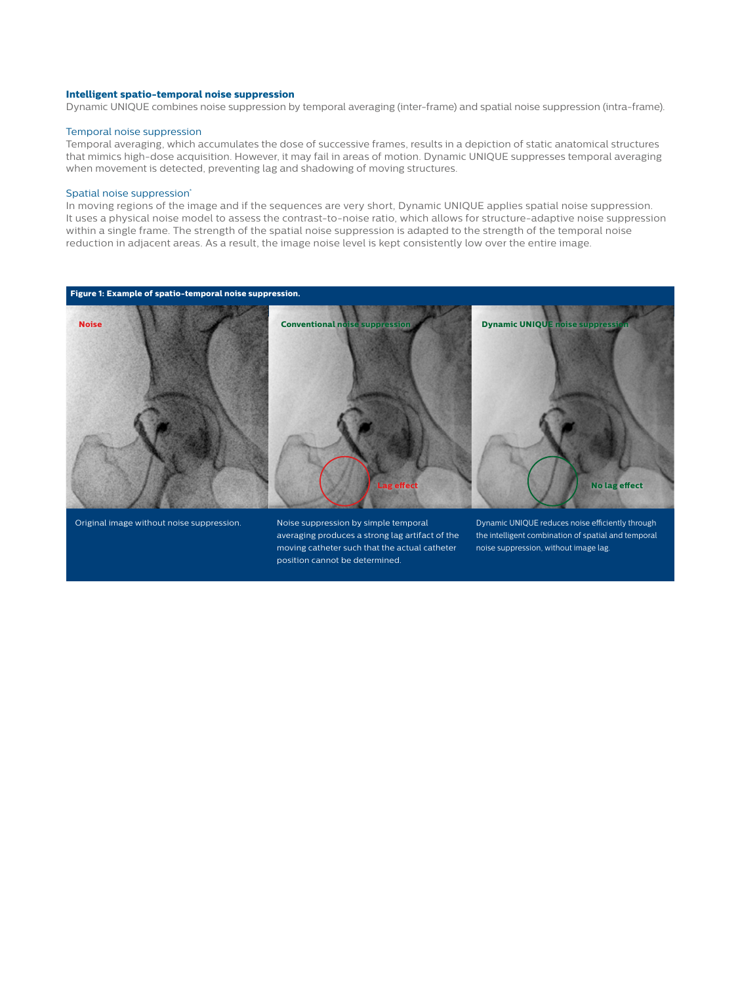#### **Intelligent spatio-temporal noise suppression**

Dynamic UNIQUE combines noise suppression by temporal averaging (inter-frame) and spatial noise suppression (intra-frame).

#### Temporal noise suppression

Temporal averaging, which accumulates the dose of successive frames, results in a depiction of static anatomical structures that mimics high-dose acquisition. However, it may fail in areas of motion. Dynamic UNIQUE suppresses temporal averaging when movement is detected, preventing lag and shadowing of moving structures.

#### Spatial noise suppression<sup>\*</sup>

In moving regions of the image and if the sequences are very short, Dynamic UNIQUE applies spatial noise suppression. It uses a physical noise model to assess the contrast-to-noise ratio, which allows for structure-adaptive noise suppression within a single frame. The strength of the spatial noise suppression is adapted to the strength of the temporal noise reduction in adjacent areas. As a result, the image noise level is kept consistently low over the entire image.

**Figure 1: Example of spatio-temporal noise suppression. Noise Conventional noise suppression Dynamic UNIQUE noise suppression Lag effect No lag effect**

Noise suppression by simple temporal averaging produces a strong lag artifact of the moving catheter such that the actual catheter position cannot be determined.

Original image without noise suppression. Moise suppression by simple temporal Dynamic UNIQUE reduces noise efficiently through the intelligent combination of spatial and temporal noise suppression, without image lag.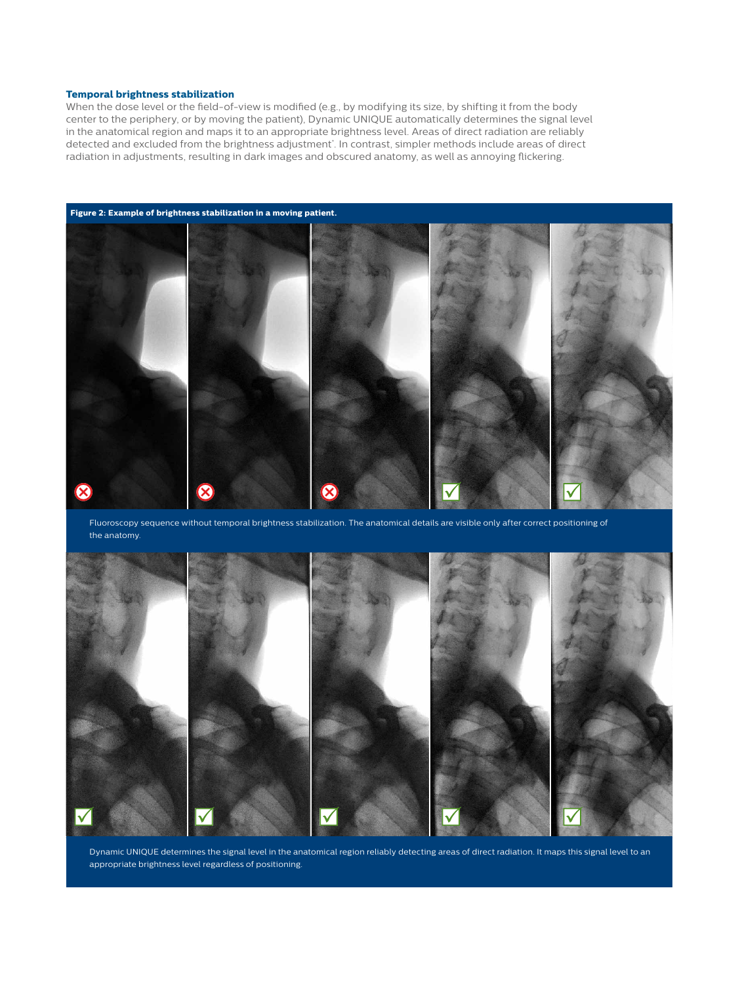#### **Temporal brightness stabilization**

When the dose level or the field-of-view is modified (e.g., by modifying its size, by shifting it from the body center to the periphery, or by moving the patient), Dynamic UNIQUE automatically determines the signal level in the anatomical region and maps it to an appropriate brightness level. Areas of direct radiation are reliably detected and excluded from the brightness adjustment\* . In contrast, simpler methods include areas of direct radiation in adjustments, resulting in dark images and obscured anatomy, as well as annoying flickering.



Fluoroscopy sequence without temporal brightness stabilization. The anatomical details are visible only after correct positioning of the anatomy.



Dynamic UNIQUE determines the signal level in the anatomical region reliably detecting areas of direct radiation. It maps this signal level to an appropriate brightness level regardless of positioning.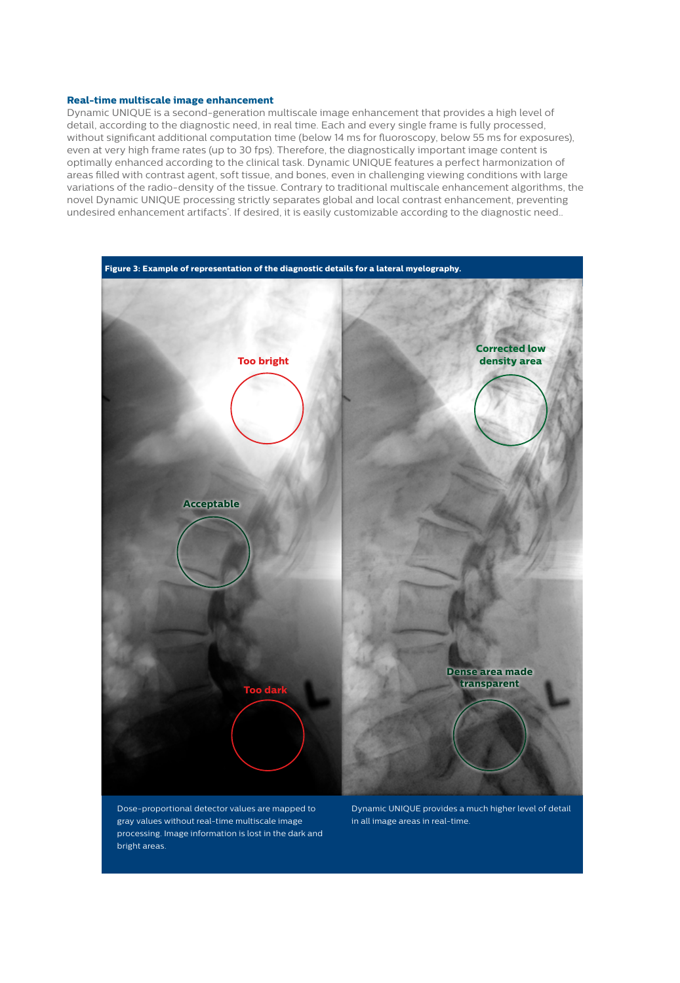#### **Real-time multiscale image enhancement**

Dynamic UNIQUE is a second-generation multiscale image enhancement that provides a high level of detail, according to the diagnostic need, in real time. Each and every single frame is fully processed, without significant additional computation time (below 14 ms for fluoroscopy, below 55 ms for exposures), even at very high frame rates (up to 30 fps). Therefore, the diagnostically important image content is optimally enhanced according to the clinical task. Dynamic UNIQUE features a perfect harmonization of areas filled with contrast agent, soft tissue, and bones, even in challenging viewing conditions with large variations of the radio-density of the tissue. Contrary to traditional multiscale enhancement algorithms, the novel Dynamic UNIQUE processing strictly separates global and local contrast enhancement, preventing undesired enhancement artifacts'. If desired, it is easily customizable according to the diagnostic need..

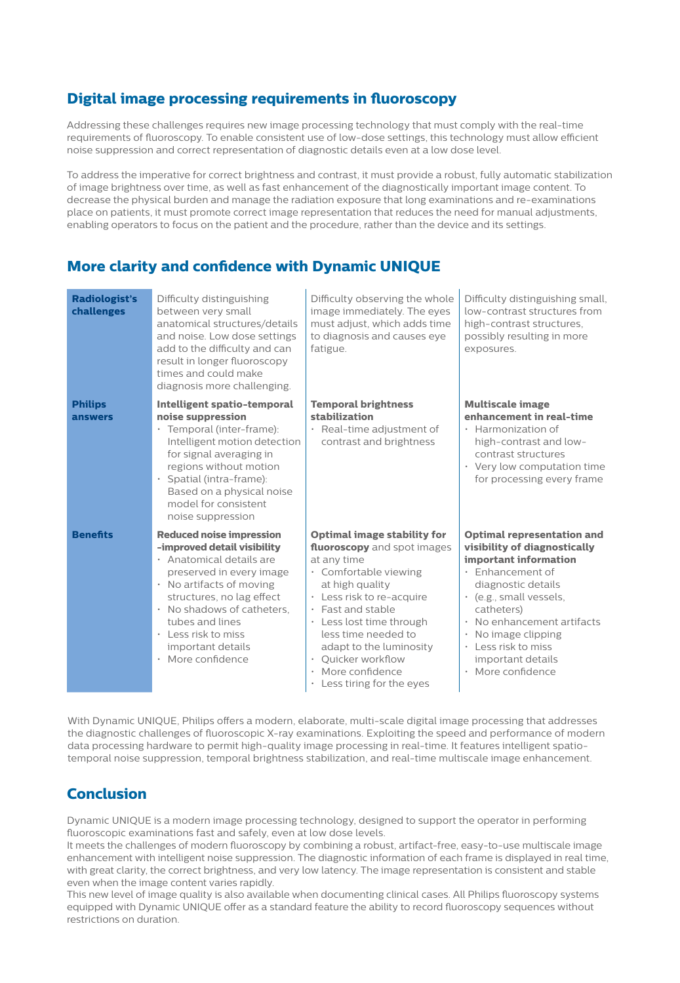## **Digital image processing requirements in fluoroscopy**

Addressing these challenges requires new image processing technology that must comply with the real-time requirements of fluoroscopy. To enable consistent use of low-dose settings, this technology must allow efficient noise suppression and correct representation of diagnostic details even at a low dose level.

To address the imperative for correct brightness and contrast, it must provide a robust, fully automatic stabilization of image brightness over time, as well as fast enhancement of the diagnostically important image content. To decrease the physical burden and manage the radiation exposure that long examinations and re-examinations place on patients, it must promote correct image representation that reduces the need for manual adjustments, enabling operators to focus on the patient and the procedure, rather than the device and its settings.

# **More clarity and confidence with Dynamic UNIQUE**

| <b>Radiologist's</b><br>challenges | Difficulty distinguishing<br>between very small<br>anatomical structures/details<br>and noise. Low dose settings<br>add to the difficulty and can<br>result in longer fluoroscopy<br>times and could make<br>diagnosis more challenging.                                                          | Difficulty observing the whole<br>image immediately. The eyes<br>must adjust, which adds time<br>to diagnosis and causes eye<br>fatigue.                                                                                                                                                                                                                                        | Difficulty distinguishing small,<br>low-contrast structures from<br>high-contrast structures,<br>possibly resulting in more<br>exposures.                                                                                                                                                                                                                |
|------------------------------------|---------------------------------------------------------------------------------------------------------------------------------------------------------------------------------------------------------------------------------------------------------------------------------------------------|---------------------------------------------------------------------------------------------------------------------------------------------------------------------------------------------------------------------------------------------------------------------------------------------------------------------------------------------------------------------------------|----------------------------------------------------------------------------------------------------------------------------------------------------------------------------------------------------------------------------------------------------------------------------------------------------------------------------------------------------------|
| <b>Philips</b><br>answers          | Intelligent spatio-temporal<br>noise suppression<br>· Temporal (inter-frame):<br>Intelligent motion detection<br>for signal averaging in<br>regions without motion<br>· Spatial (intra-frame):<br>Based on a physical noise<br>model for consistent<br>noise suppression                          | <b>Temporal brightness</b><br>stabilization<br>Real-time adjustment of<br>$\bullet$<br>contrast and brightness                                                                                                                                                                                                                                                                  | <b>Multiscale image</b><br>enhancement in real-time<br>· Harmonization of<br>high-contrast and low-<br>contrast structures<br>• Very low computation time<br>for processing every frame                                                                                                                                                                  |
| <b>Benefits</b>                    | <b>Reduced noise impression</b><br>-improved detail visibility<br>· Anatomical details are<br>preserved in every image<br>• No artifacts of moving<br>structures, no lag effect<br>· No shadows of catheters.<br>tubes and lines<br>· Less risk to miss<br>important details<br>· More confidence | <b>Optimal image stability for</b><br>fluoroscopy and spot images<br>at any time<br>· Comfortable viewing<br>at high quality<br>Less risk to re-acquire<br>$\bullet$<br>Fast and stable<br>$\bullet$<br>• Less lost time through<br>less time needed to<br>adapt to the luminosity<br>Ouicker workflow<br>$\bullet$<br>More confidence<br>$\bullet$<br>Less tiring for the eyes | <b>Optimal representation and</b><br>visibility of diagnostically<br>important information<br>Enhancement of<br>diagnostic details<br>(e.g., small vessels,<br>$\bullet$<br>catheters)<br>No enhancement artifacts<br>$\bullet$<br>No image clipping<br>$\bullet$<br>Less risk to miss<br>$\bullet$<br>important details<br>More confidence<br>$\bullet$ |

With Dynamic UNIQUE, Philips offers a modern, elaborate, multi-scale digital image processing that addresses the diagnostic challenges of fluoroscopic X-ray examinations. Exploiting the speed and performance of modern data processing hardware to permit high-quality image processing in real-time. It features intelligent spatiotemporal noise suppression, temporal brightness stabilization, and real-time multiscale image enhancement.

### **Conclusion**

Dynamic UNIQUE is a modern image processing technology, designed to support the operator in performing fluoroscopic examinations fast and safely, even at low dose levels.

It meets the challenges of modern fluoroscopy by combining a robust, artifact-free, easy-to-use multiscale image enhancement with intelligent noise suppression. The diagnostic information of each frame is displayed in real time, with great clarity, the correct brightness, and very low latency. The image representation is consistent and stable even when the image content varies rapidly.

This new level of image quality is also available when documenting clinical cases. All Philips fluoroscopy systems equipped with Dynamic UNIQUE offer as a standard feature the ability to record fluoroscopy sequences without restrictions on duration.